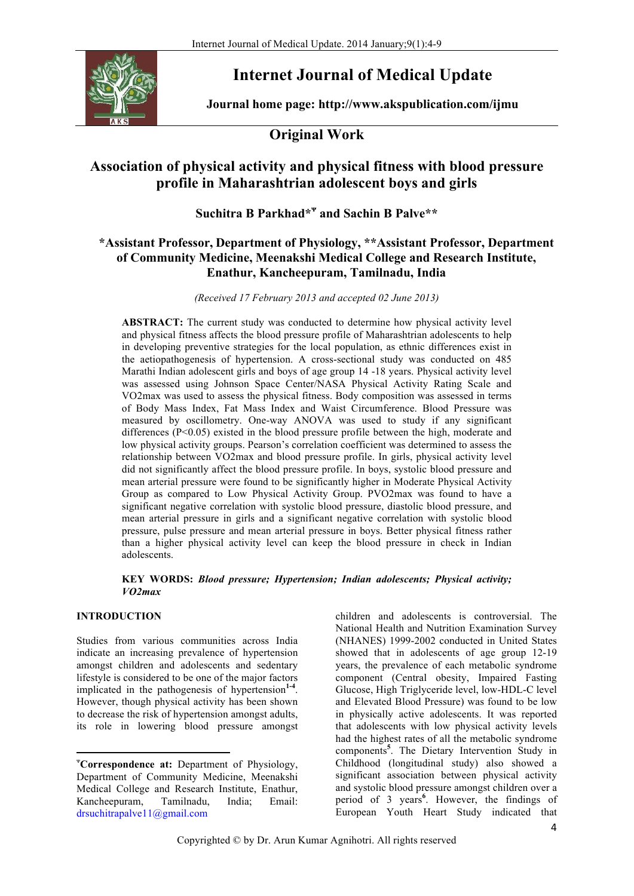

# **Internet Journal of Medical Update**

**Journal home page: http://www.akspublication.com/ijmu**

# **Original Work**

# **Association of physical activity and physical fitness with blood pressure profile in Maharashtrian adolescent boys and girls**

# **Suchitra B Parkhad\*<sup>ᴪ</sup> and Sachin B Palve\*\***

# **\*Assistant Professor, Department of Physiology, \*\*Assistant Professor, Department of Community Medicine, Meenakshi Medical College and Research Institute, Enathur, Kancheepuram, Tamilnadu, India**

*(Received 17 February 2013 and accepted 02 June 2013)*

**ABSTRACT:** The current study was conducted to determine how physical activity level and physical fitness affects the blood pressure profile of Maharashtrian adolescents to help in developing preventive strategies for the local population, as ethnic differences exist in the aetiopathogenesis of hypertension. A cross-sectional study was conducted on 485 Marathi Indian adolescent girls and boys of age group 14 -18 years. Physical activity level was assessed using Johnson Space Center/NASA Physical Activity Rating Scale and VO2max was used to assess the physical fitness. Body composition was assessed in terms of Body Mass Index, Fat Mass Index and Waist Circumference. Blood Pressure was measured by oscillometry. One-way ANOVA was used to study if any significant differences (P<0.05) existed in the blood pressure profile between the high, moderate and low physical activity groups. Pearson's correlation coefficient was determined to assess the relationship between VO2max and blood pressure profile. In girls, physical activity level did not significantly affect the blood pressure profile. In boys, systolic blood pressure and mean arterial pressure were found to be significantly higher in Moderate Physical Activity Group as compared to Low Physical Activity Group. PVO2max was found to have a significant negative correlation with systolic blood pressure, diastolic blood pressure, and mean arterial pressure in girls and a significant negative correlation with systolic blood pressure, pulse pressure and mean arterial pressure in boys. Better physical fitness rather than a higher physical activity level can keep the blood pressure in check in Indian adolescents.

#### **KEY WORDS:** *Blood pressure; Hypertension; Indian adolescents; Physical activity; VO2max*

## **INTRODUCTION<sup>ᴪ</sup>**

Studies from various communities across India indicate an increasing prevalence of hypertension amongst children and adolescents and sedentary lifestyle is considered to be one of the major factors implicated in the pathogenesis of hypertension<sup>1-4</sup>. However, though physical activity has been shown to decrease the risk of hypertension amongst adults, its role in lowering blood pressure amongst

<u> 1989 - Jan Samuel Barbara, político establecido de la provincia de la provincia de la provincia de la provinci</u>

children and adolescents is controversial. The National Health and Nutrition Examination Survey (NHANES) 1999-2002 conducted in United States showed that in adolescents of age group 12-19 years, the prevalence of each metabolic syndrome component (Central obesity, Impaired Fasting Glucose, High Triglyceride level, low-HDL-C level and Elevated Blood Pressure) was found to be low in physically active adolescents. It was reported that adolescents with low physical activity levels had the highest rates of all the metabolic syndrome components**<sup>5</sup>** . The Dietary Intervention Study in Childhood (longitudinal study) also showed a significant association between physical activity and systolic blood pressure amongst children over a period of 3 years<sup>6</sup>. However, the findings of European Youth Heart Study indicated that

ᴪ **Correspondence at:** Department of Physiology, Department of Community Medicine, Meenakshi Medical College and Research Institute, Enathur, Kancheepuram, Tamilnadu, India; Email: drsuchitrapalve11@gmail.com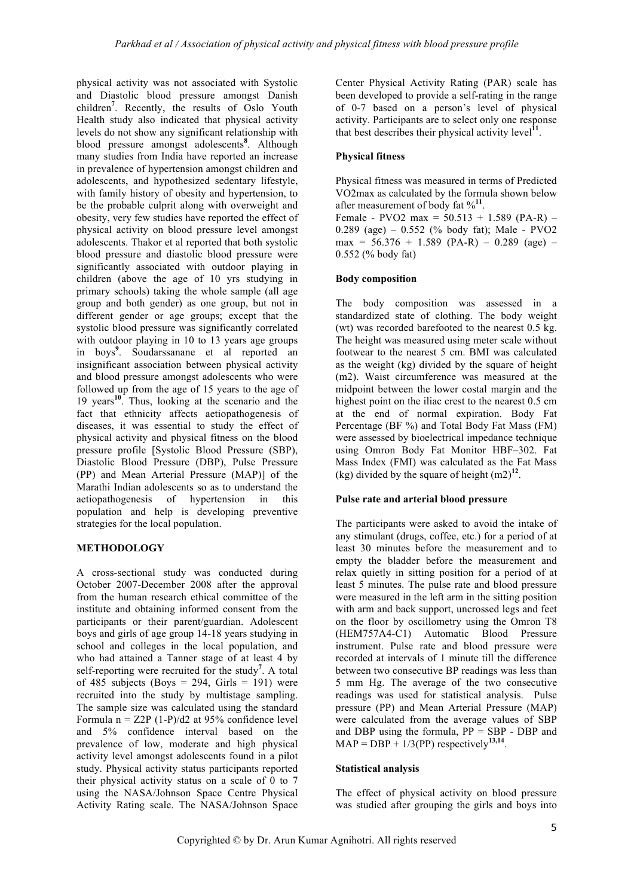physical activity was not associated with Systolic and Diastolic blood pressure amongst Danish children**<sup>7</sup>** . Recently, the results of Oslo Youth Health study also indicated that physical activity levels do not show any significant relationship with blood pressure amongst adolescents**<sup>8</sup>** . Although many studies from India have reported an increase in prevalence of hypertension amongst children and adolescents, and hypothesized sedentary lifestyle, with family history of obesity and hypertension, to be the probable culprit along with overweight and obesity, very few studies have reported the effect of physical activity on blood pressure level amongst adolescents. Thakor et al reported that both systolic blood pressure and diastolic blood pressure were significantly associated with outdoor playing in children (above the age of 10 yrs studying in primary schools) taking the whole sample (all age group and both gender) as one group, but not in different gender or age groups; except that the systolic blood pressure was significantly correlated with outdoor playing in 10 to 13 years age groups in boys**<sup>9</sup>** . Soudarssanane et al reported an insignificant association between physical activity and blood pressure amongst adolescents who were followed up from the age of 15 years to the age of 19 years **<sup>10</sup>**. Thus, looking at the scenario and the fact that ethnicity affects aetiopathogenesis of diseases, it was essential to study the effect of physical activity and physical fitness on the blood pressure profile [Systolic Blood Pressure (SBP), Diastolic Blood Pressure (DBP), Pulse Pressure (PP) and Mean Arterial Pressure (MAP)] of the Marathi Indian adolescents so as to understand the aetiopathogenesis of hypertension in this population and help is developing preventive strategies for the local population.

## **METHODOLOGY**

A cross-sectional study was conducted during October 2007-December 2008 after the approval from the human research ethical committee of the institute and obtaining informed consent from the participants or their parent/guardian. Adolescent boys and girls of age group 14-18 years studying in school and colleges in the local population, and who had attained a Tanner stage of at least 4 by self-reporting were recruited for the study<sup>7</sup>. A total of  $485$  subjects (Boys = 294, Girls = 191) were recruited into the study by multistage sampling. The sample size was calculated using the standard Formula  $n = Z2P (1-P)/d2$  at 95% confidence level and 5% confidence interval based on the prevalence of low, moderate and high physical activity level amongst adolescents found in a pilot study. Physical activity status participants reported their physical activity status on a scale of 0 to 7 using the NASA/Johnson Space Centre Physical Activity Rating scale. The NASA/Johnson Space

Center Physical Activity Rating (PAR) scale has been developed to provide a self-rating in the range of 0-7 based on a person's level of physical activity. Participants are to select only one response that best describes their physical activity level**<sup>11</sup>**.

#### **Physical fitness**

Physical fitness was measured in terms of Predicted VO2max as calculated by the formula shown below after measurement of body fat %**<sup>11</sup>**.

Female - PVO2 max =  $50.513 + 1.589$  (PA-R) – 0.289 (age) – 0.552 (% body fat); Male - PVO2  $max = 56.376 + 1.589 (PA-R) - 0.289 (age) -$ 0.552 (% body fat)

#### **Body composition**

The body composition was assessed in a standardized state of clothing. The body weight (wt) was recorded barefooted to the nearest 0.5 kg. The height was measured using meter scale without footwear to the nearest 5 cm. BMI was calculated as the weight (kg) divided by the square of height (m2). Waist circumference was measured at the midpoint between the lower costal margin and the highest point on the iliac crest to the nearest 0.5 cm at the end of normal expiration. Body Fat Percentage (BF %) and Total Body Fat Mass (FM) were assessed by bioelectrical impedance technique using Omron Body Fat Monitor HBF–302. Fat Mass Index (FMI) was calculated as the Fat Mass (kg) divided by the square of height  $(m2)^{12}$ .

#### **Pulse rate and arterial blood pressure**

The participants were asked to avoid the intake of any stimulant (drugs, coffee, etc.) for a period of at least 30 minutes before the measurement and to empty the bladder before the measurement and relax quietly in sitting position for a period of at least 5 minutes. The pulse rate and blood pressure were measured in the left arm in the sitting position with arm and back support, uncrossed legs and feet on the floor by oscillometry using the Omron T8 (HEM757A4-C1) Automatic Blood Pressure instrument. Pulse rate and blood pressure were recorded at intervals of 1 minute till the difference between two consecutive BP readings was less than 5 mm Hg. The average of the two consecutive readings was used for statistical analysis. Pulse pressure (PP) and Mean Arterial Pressure (MAP) were calculated from the average values of SBP and DBP using the formula,  $PP = SBP - DBP$  and  $MAP = DBP + 1/3(PP)$  respectively<sup>13,14</sup>.

#### **Statistical analysis**

The effect of physical activity on blood pressure was studied after grouping the girls and boys into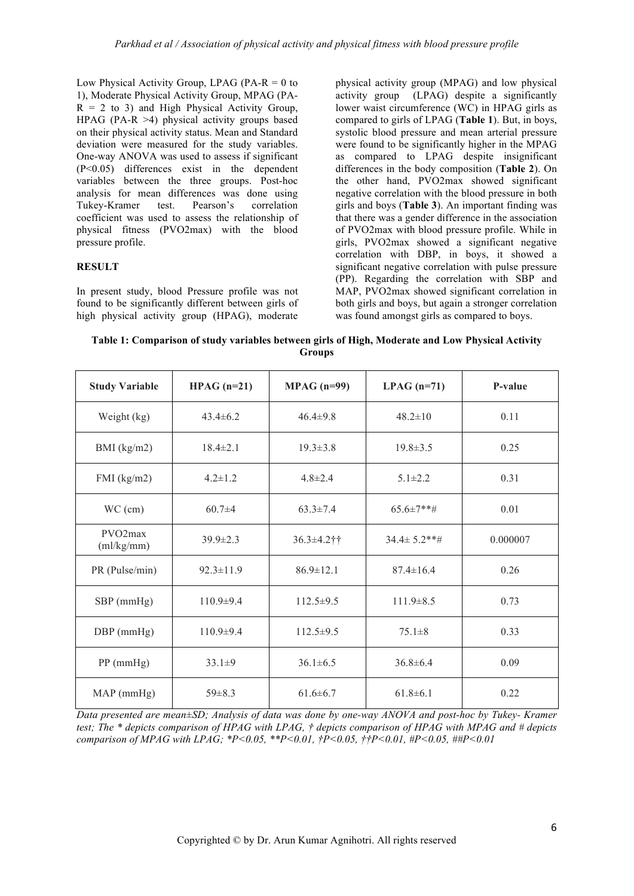Low Physical Activity Group, LPAG (PA- $R = 0$  to 1), Moderate Physical Activity Group, MPAG (PA- $R = 2$  to 3) and High Physical Activity Group, HPAG (PA-R  $>4$ ) physical activity groups based on their physical activity status. Mean and Standard deviation were measured for the study variables. One-way ANOVA was used to assess if significant (P<0.05) differences exist in the dependent variables between the three groups. Post-hoc analysis for mean differences was done using Tukey-Kramer test. Pearson's correlation coefficient was used to assess the relationship of physical fitness (PVO2max) with the blood pressure profile.

## **RESULT**

In present study, blood Pressure profile was not found to be significantly different between girls of high physical activity group (HPAG), moderate

physical activity group (MPAG) and low physical activity group (LPAG) despite a significantly lower waist circumference (WC) in HPAG girls as compared to girls of LPAG (**Table 1**). But, in boys, systolic blood pressure and mean arterial pressure were found to be significantly higher in the MPAG as compared to LPAG despite insignificant differences in the body composition (**Table 2**). On the other hand, PVO2max showed significant negative correlation with the blood pressure in both girls and boys (**Table 3**). An important finding was that there was a gender difference in the association of PVO2max with blood pressure profile. While in girls, PVO2max showed a significant negative correlation with DBP, in boys, it showed a significant negative correlation with pulse pressure (PP). Regarding the correlation with SBP and MAP, PVO2max showed significant correlation in both girls and boys, but again a stronger correlation was found amongst girls as compared to boys.

**Table 1: Comparison of study variables between girls of High, Moderate and Low Physical Activity Groups**

| <b>Study Variable</b>              | $HPAG (n=21)$   | $MPAG (n=99)$   | $LPAG (n=71)$      | P-value  |
|------------------------------------|-----------------|-----------------|--------------------|----------|
| Weight (kg)                        | $43.4\pm 6.2$   | $46.4 \pm 9.8$  | $48.2 \pm 10$      | 0.11     |
| BMI $(kg/m2)$                      | $18.4 \pm 2.1$  | $19.3 \pm 3.8$  | $19.8 \pm 3.5$     | 0.25     |
| $FMI$ (kg/m2)                      | $4.2 \pm 1.2$   | $4.8 \pm 2.4$   | $5.1 \pm 2.2$      | 0.31     |
| $WC$ (cm)                          | $60.7\pm4$      | $63.3 \pm 7.4$  | $65.6\pm7**$ #     | 0.01     |
| PVO <sub>2</sub> max<br>(ml/kg/mm) | $39.9 \pm 2.3$  | 36.3±4.2††      | $34.4 \pm 5.2$ **# | 0.000007 |
| PR (Pulse/min)                     | $92.3 \pm 11.9$ | $86.9 \pm 12.1$ | $87.4 \pm 16.4$    | 0.26     |
| $SBP$ (mmHg)                       | $110.9 \pm 9.4$ | $112.5 \pm 9.5$ | $111.9 \pm 8.5$    | 0.73     |
| $DBP$ (mmHg)                       | $110.9\pm9.4$   | $112.5 \pm 9.5$ | $75.1 \pm 8$       | 0.33     |
| $PP$ (mmHg)                        | $33.1 \pm 9$    | $36.1 \pm 6.5$  | $36.8 \pm 6.4$     | 0.09     |
| $MAP$ (mmHg)                       | $59\pm8.3$      | $61.6\pm 6.7$   | $61.8\pm 6.1$      | 0.22     |

*Data presented are mean±SD; Analysis of data was done by one-way ANOVA and post-hoc by Tukey- Kramer test; The \* depicts comparison of HPAG with LPAG, † depicts comparison of HPAG with MPAG and # depicts comparison of MPAG with LPAG; \*P<0.05, \*\*P<0.01, †P<0.05, ††P<0.01, #P<0.05, ##P<0.01*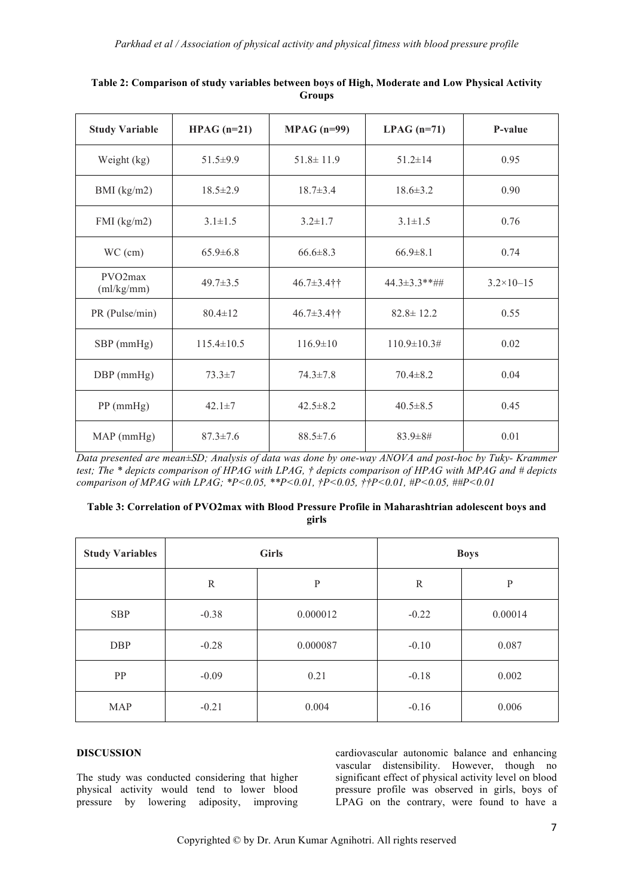| <b>Study Variable</b>              | $HPAG (n=21)$    | $MPAG (n=99)$     | $LPAG (n=71)$      | P-value              |
|------------------------------------|------------------|-------------------|--------------------|----------------------|
| Weight (kg)                        | $51.5 \pm 9.9$   | $51.8 \pm 11.9$   | $51.2 \pm 14$      | 0.95                 |
| BMI $(kg/m2)$                      | $18.5 \pm 2.9$   | $18.7 \pm 3.4$    | $18.6 \pm 3.2$     | 0.90                 |
| $FMI$ (kg/m2)                      | $3.1 \pm 1.5$    | $3.2 \pm 1.7$     | $3.1 \pm 1.5$      | 0.76                 |
| $WC$ (cm)                          | $65.9 \pm 6.8$   | $66.6 \pm 8.3$    | $66.9 \pm 8.1$     | 0.74                 |
| PVO <sub>2</sub> max<br>(ml/kg/mm) | $49.7 \pm 3.5$   | $46.7 \pm 3.4$ †† | 44.3±3.3 ** ##     | $3.2 \times 10 - 15$ |
| PR (Pulse/min)                     | $80.4 \pm 12$    | $46.7 \pm 3.4$ †† | $82.8 \pm 12.2$    | 0.55                 |
| SBP (mmHg)                         | $115.4 \pm 10.5$ | $116.9 \pm 10$    | $110.9 \pm 10.3$ # | 0.02                 |
| $DBP$ (mmHg)                       | $73.3 \pm 7$     | $74.3 \pm 7.8$    | $70.4 \pm 8.2$     | 0.04                 |
| $PP$ (mmHg)                        | $42.1 \pm 7$     | $42.5 \pm 8.2$    | $40.5 \pm 8.5$     | 0.45                 |
| $MAP$ (mmHg)                       | $87.3 \pm 7.6$   | $88.5 \pm 7.6$    | 83.9±8#            | 0.01                 |

| Table 2: Comparison of study variables between boys of High, Moderate and Low Physical Activity |  |
|-------------------------------------------------------------------------------------------------|--|
| Groups                                                                                          |  |

*Data presented are mean±SD; Analysis of data was done by one-way ANOVA and post-hoc by Tuky- Krammer test; The \* depicts comparison of HPAG with LPAG, † depicts comparison of HPAG with MPAG and # depicts comparison of MPAG with LPAG; \*P<0.05, \*\*P<0.01, †P<0.05, ††P<0.01, #P<0.05, ##P<0.01*

#### **Table 3: Correlation of PVO2max with Blood Pressure Profile in Maharashtrian adolescent boys and girls**

| <b>Study Variables</b> | <b>Girls</b> |              | <b>Boys</b>  |           |
|------------------------|--------------|--------------|--------------|-----------|
|                        | $\mathbb{R}$ | $\mathbf{P}$ | $\mathbb{R}$ | ${\bf P}$ |
| <b>SBP</b>             | $-0.38$      | 0.000012     | $-0.22$      | 0.00014   |
| <b>DBP</b>             | $-0.28$      | 0.000087     | $-0.10$      | 0.087     |
| PP                     | $-0.09$      | 0.21         | $-0.18$      | 0.002     |
| <b>MAP</b>             | $-0.21$      | 0.004        | $-0.16$      | 0.006     |

#### **DISCUSSION**

The study was conducted considering that higher physical activity would tend to lower blood pressure by lowering adiposity, improving cardiovascular autonomic balance and enhancing vascular distensibility. However, though no significant effect of physical activity level on blood pressure profile was observed in girls, boys of LPAG on the contrary, were found to have a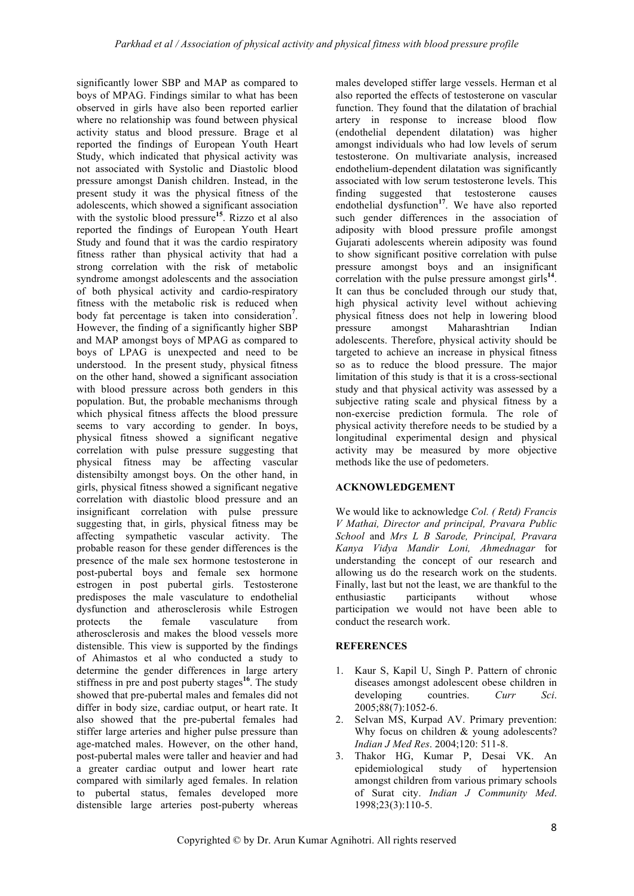significantly lower SBP and MAP as compared to boys of MPAG. Findings similar to what has been observed in girls have also been reported earlier where no relationship was found between physical activity status and blood pressure. Brage et al reported the findings of European Youth Heart Study, which indicated that physical activity was not associated with Systolic and Diastolic blood pressure amongst Danish children. Instead, in the present study it was the physical fitness of the adolescents, which showed a significant association with the systolic blood pressure<sup>15</sup>. Rizzo et al also reported the findings of European Youth Heart Study and found that it was the cardio respiratory fitness rather than physical activity that had a strong correlation with the risk of metabolic syndrome amongst adolescents and the association of both physical activity and cardio-respiratory fitness with the metabolic risk is reduced when body fat percentage is taken into consideration**<sup>7</sup>** . However, the finding of a significantly higher SBP and MAP amongst boys of MPAG as compared to boys of LPAG is unexpected and need to be understood. In the present study, physical fitness on the other hand, showed a significant association with blood pressure across both genders in this population. But, the probable mechanisms through which physical fitness affects the blood pressure seems to vary according to gender. In boys, physical fitness showed a significant negative correlation with pulse pressure suggesting that physical fitness may be affecting vascular distensibilty amongst boys. On the other hand, in girls, physical fitness showed a significant negative correlation with diastolic blood pressure and an insignificant correlation with pulse pressure suggesting that, in girls, physical fitness may be affecting sympathetic vascular activity. The probable reason for these gender differences is the presence of the male sex hormone testosterone in post-pubertal boys and female sex hormone estrogen in post pubertal girls. Testosterone predisposes the male vasculature to endothelial dysfunction and atherosclerosis while Estrogen protects the female vasculature from atherosclerosis and makes the blood vessels more distensible. This view is supported by the findings of Ahimastos et al who conducted a study to determine the gender differences in large artery stiffness in pre and post puberty stages**<sup>16</sup>**. The study showed that pre-pubertal males and females did not differ in body size, cardiac output, or heart rate. It also showed that the pre-pubertal females had stiffer large arteries and higher pulse pressure than age-matched males. However, on the other hand, post-pubertal males were taller and heavier and had a greater cardiac output and lower heart rate compared with similarly aged females. In relation to pubertal status, females developed more distensible large arteries post-puberty whereas

males developed stiffer large vessels. Herman et al also reported the effects of testosterone on vascular function. They found that the dilatation of brachial artery in response to increase blood flow (endothelial dependent dilatation) was higher amongst individuals who had low levels of serum testosterone. On multivariate analysis, increased endothelium-dependent dilatation was significantly associated with low serum testosterone levels. This finding suggested that testosterone causes endothelial dysfunction**<sup>17</sup>**. We have also reported such gender differences in the association of adiposity with blood pressure profile amongst Gujarati adolescents wherein adiposity was found to show significant positive correlation with pulse pressure amongst boys and an insignificant correlation with the pulse pressure amongst girls<sup>14</sup>. It can thus be concluded through our study that, high physical activity level without achieving physical fitness does not help in lowering blood pressure amongst Maharashtrian Indian adolescents. Therefore, physical activity should be targeted to achieve an increase in physical fitness so as to reduce the blood pressure. The major limitation of this study is that it is a cross-sectional study and that physical activity was assessed by a subjective rating scale and physical fitness by a non-exercise prediction formula. The role of physical activity therefore needs to be studied by a longitudinal experimental design and physical activity may be measured by more objective methods like the use of pedometers.

## **ACKNOWLEDGEMENT**

We would like to acknowledge *Col. ( Retd) Francis V Mathai, Director and principal, Pravara Public School* and *Mrs L B Sarode, Principal, Pravara Kanya Vidya Mandir Loni, Ahmednagar* for understanding the concept of our research and allowing us do the research work on the students. Finally, last but not the least, we are thankful to the enthusiastic participants without whose participation we would not have been able to conduct the research work.

#### **REFERENCES**

- 1. Kaur S, Kapil U, Singh P. Pattern of chronic diseases amongst adolescent obese children in developing countries. *Curr Sci*. 2005;88(7):1052-6.
- 2. Selvan MS, Kurpad AV. Primary prevention: Why focus on children & young adolescents? *Indian J Med Res*. 2004;120: 511-8.
- 3. Thakor HG, Kumar P, Desai VK. An epidemiological study of hypertension amongst children from various primary schools of Surat city. *Indian J Community Med*. 1998;23(3):110-5.